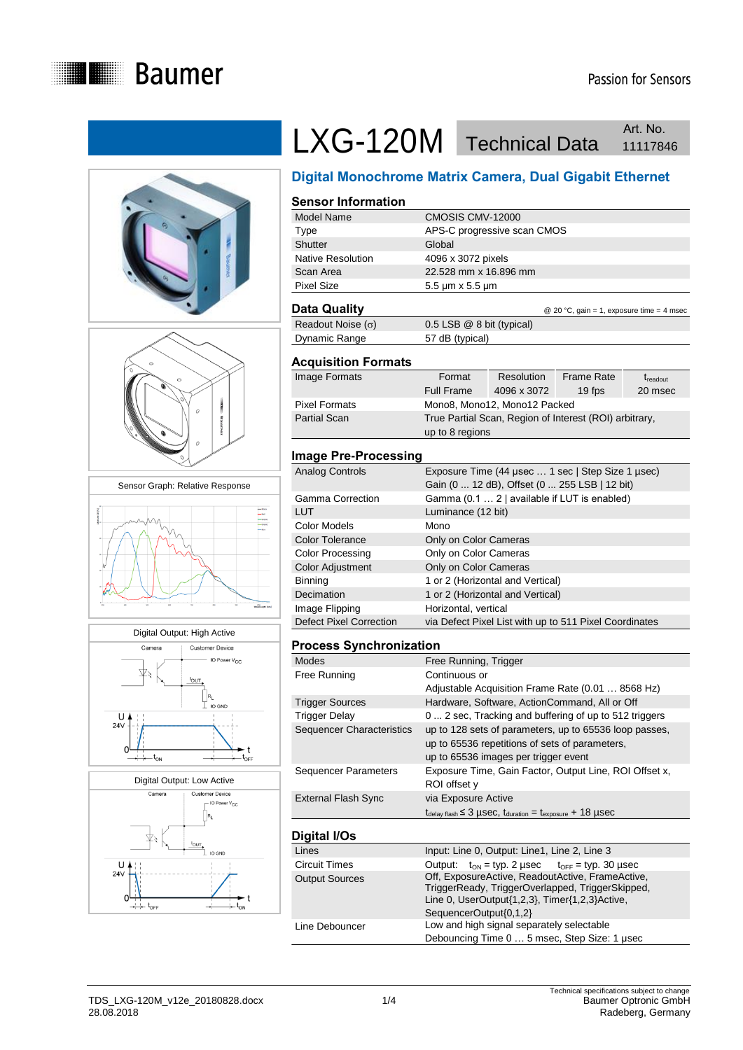











# LXG-120M Technical Data Art. No. Art. No.

## **Digital Monochrome Matrix Camera, Dual Gigabit Ethernet**

#### **Sensor Information**

| Model Name        | CMOSIS CMV-12000                                       |
|-------------------|--------------------------------------------------------|
| Type              | APS-C progressive scan CMOS                            |
| <b>Shutter</b>    | Global                                                 |
| Native Resolution | 4096 x 3072 pixels                                     |
| Scan Area         | 22.528 mm x 16.896 mm                                  |
| <b>Pixel Size</b> | $5.5 \,\mathrm{\upmu m} \times 5.5 \,\mathrm{\upmu m}$ |
|                   |                                                        |

### **Data Quality Data Quality Data Cuality Data Cuality CO** 20 °C, gain = 1, exposure time = 4 msec

| Readout Noise $(\sigma)$ | $0.5$ LSB $@$ 8 bit (typical) |
|--------------------------|-------------------------------|
| Dynamic Range            | 57 dB (typical)               |

#### **Acquisition Formats**

| Image Formats        | Format<br><b>Full Frame</b> | Resolution<br>4096 x 3072    | <b>Frame Rate</b><br>19 fps                            | $t_{\text{readout}}$<br>20 msec |
|----------------------|-----------------------------|------------------------------|--------------------------------------------------------|---------------------------------|
|                      |                             |                              |                                                        |                                 |
| <b>Pixel Formats</b> |                             | Mono8, Mono12, Mono12 Packed |                                                        |                                 |
| <b>Partial Scan</b>  |                             |                              | True Partial Scan, Region of Interest (ROI) arbitrary, |                                 |
|                      | up to 8 regions             |                              |                                                        |                                 |

#### **Image Pre-Processing**

| Analog Controls                | Exposure Time (44 usec  1 sec   Step Size 1 usec)      |
|--------------------------------|--------------------------------------------------------|
|                                | Gain (0  12 dB), Offset (0  255 LSB   12 bit)          |
| Gamma Correction               | Gamma (0.1  2   available if LUT is enabled)           |
| LUT                            | Luminance (12 bit)                                     |
| Color Models                   | Mono                                                   |
| <b>Color Tolerance</b>         | Only on Color Cameras                                  |
| Color Processing               | Only on Color Cameras                                  |
| Color Adjustment               | Only on Color Cameras                                  |
| Binning                        | 1 or 2 (Horizontal and Vertical)                       |
| Decimation                     | 1 or 2 (Horizontal and Vertical)                       |
| Image Flipping                 | Horizontal, vertical                                   |
| <b>Defect Pixel Correction</b> | via Defect Pixel List with up to 511 Pixel Coordinates |

#### **Process Synchronization**

| <b>Modes</b>                     | Free Running, Trigger                                                                                                                                                                    |
|----------------------------------|------------------------------------------------------------------------------------------------------------------------------------------------------------------------------------------|
| Free Running                     | Continuous or                                                                                                                                                                            |
|                                  | Adjustable Acquisition Frame Rate (0.01  8568 Hz)                                                                                                                                        |
| <b>Trigger Sources</b>           | Hardware, Software, ActionCommand, All or Off                                                                                                                                            |
| Trigger Delay                    | 0  2 sec, Tracking and buffering of up to 512 triggers                                                                                                                                   |
| <b>Sequencer Characteristics</b> | up to 128 sets of parameters, up to 65536 loop passes,<br>up to 65536 repetitions of sets of parameters,<br>up to 65536 images per trigger event                                         |
| Sequencer Parameters             | Exposure Time, Gain Factor, Output Line, ROI Offset x,<br>ROI offset y                                                                                                                   |
| External Flash Sync              | via Exposure Active                                                                                                                                                                      |
|                                  | $t_{\text{delay flash}} \leq 3$ µSeC, $t_{\text{duration}} = t_{\text{exposure}} + 18$ µSeC                                                                                              |
| Digital I/Os                     |                                                                                                                                                                                          |
| Lines                            | Input: Line 0, Output: Line1, Line 2, Line 3                                                                                                                                             |
| <b>Circuit Times</b>             | Output: $t_{ON}$ = typ. 2 usec $t_{OFF}$ = typ. 30 usec                                                                                                                                  |
| <b>Output Sources</b>            | Off, ExposureActive, ReadoutActive, FrameActive,<br>TriggerReady, TriggerOverlapped, TriggerSkipped,<br>Line 0, $UserOutput{1,2,3}$ , $Timer{1,2,3}$ $Active,$<br>SequencerOutput{0,1,2} |

Debouncing Time 0 … 5 msec, Step Size: 1 μsec

Line Debouncer **Low** and high signal separately selectable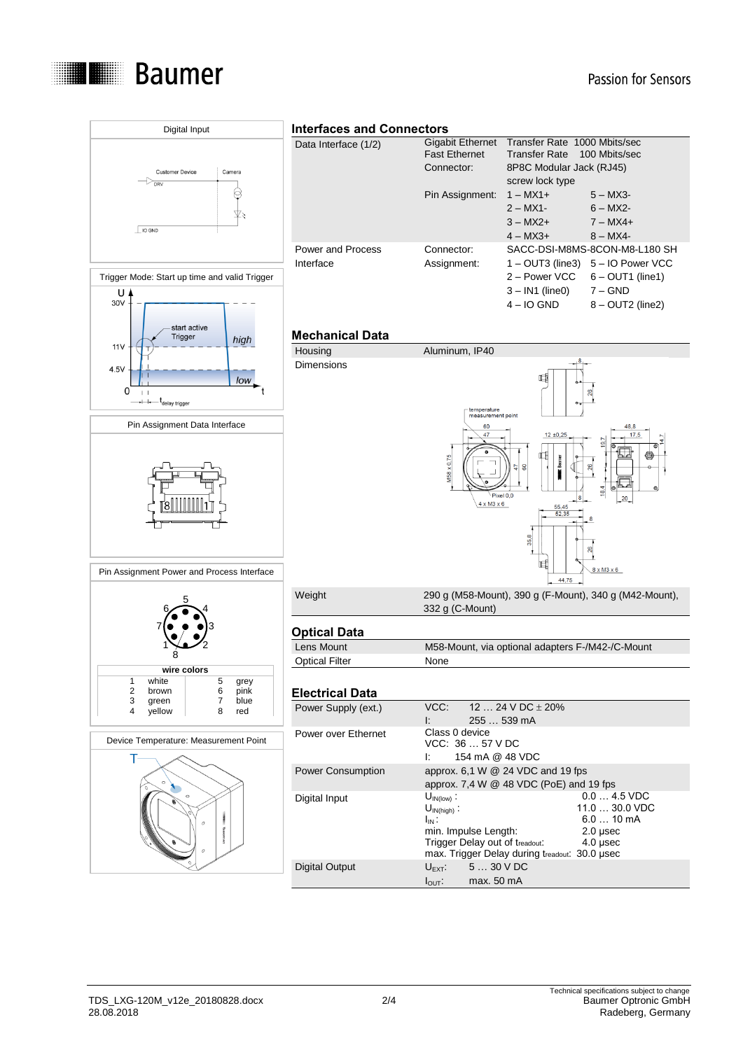

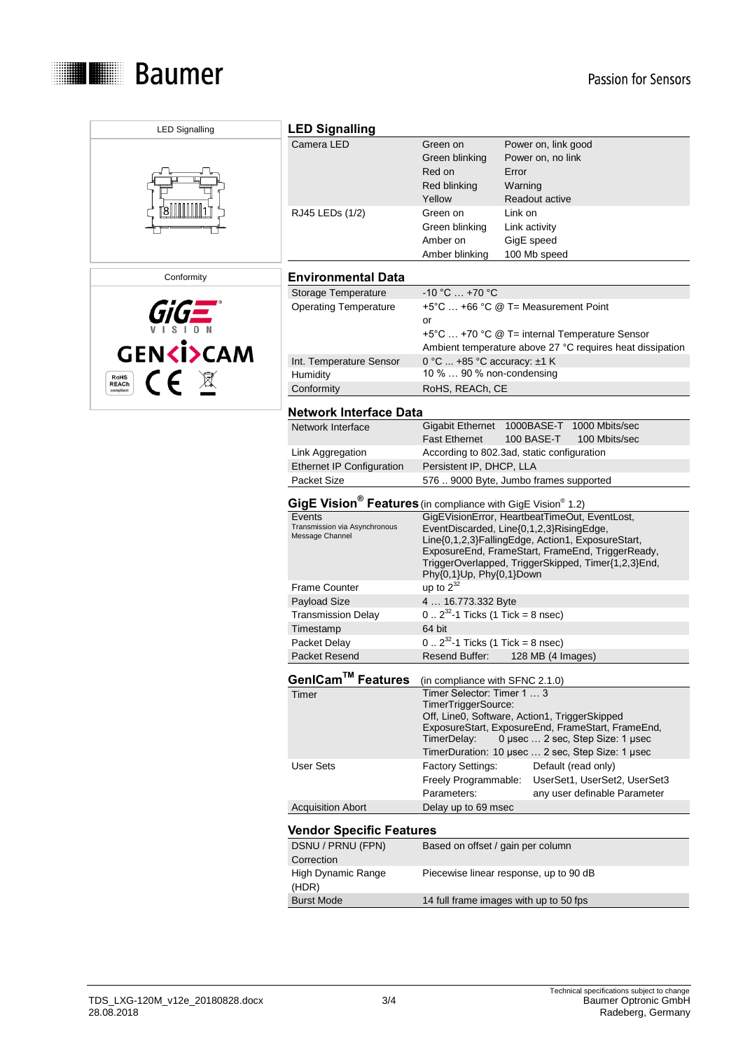

| <b>LED Signalling</b>     | <b>LED Signalling</b>                                                                                                                          |                                                                  |                                                                                                                                                                                                          |  |
|---------------------------|------------------------------------------------------------------------------------------------------------------------------------------------|------------------------------------------------------------------|----------------------------------------------------------------------------------------------------------------------------------------------------------------------------------------------------------|--|
|                           | Camera LED                                                                                                                                     | Green on<br>Green blinking<br>Red on<br>Red blinking<br>Yellow   | Power on, link good<br>Power on, no link<br>Error<br>Warning<br>Readout active                                                                                                                           |  |
|                           | RJ45 LEDs (1/2)                                                                                                                                | Green on<br>Green blinking<br>Amber on<br>Amber blinking         | Link on<br>Link activity<br>GigE speed<br>100 Mb speed                                                                                                                                                   |  |
| Conformity                | <b>Environmental Data</b>                                                                                                                      |                                                                  |                                                                                                                                                                                                          |  |
|                           | Storage Temperature                                                                                                                            | $-10 °C  +70 °C$                                                 |                                                                                                                                                                                                          |  |
| <b>GENKI&gt;CAM</b>       | <b>Operating Temperature</b>                                                                                                                   | or                                                               | +5°C  +66 °C @ T= Measurement Point<br>+5°C  +70 °C @ T= internal Temperature Sensor<br>Ambient temperature above 27 °C requires heat dissipation                                                        |  |
|                           | Int. Temperature Sensor                                                                                                                        | 0 °C  +85 °C accuracy: ±1 K                                      |                                                                                                                                                                                                          |  |
| CE X<br><b>RoHS</b>       | Humidity                                                                                                                                       | 10 %  90 % non-condensing                                        |                                                                                                                                                                                                          |  |
| <b>REACh</b><br>compliant | Conformity                                                                                                                                     | RoHS, REACh, CE                                                  |                                                                                                                                                                                                          |  |
|                           | <b>Network Interface Data</b>                                                                                                                  |                                                                  |                                                                                                                                                                                                          |  |
|                           | Network Interface                                                                                                                              | <b>Fast Ethernet</b>                                             | Gigabit Ethernet 1000BASE-T 1000 Mbits/sec<br>100 BASE-T<br>100 Mbits/sec                                                                                                                                |  |
|                           | Link Aggregation                                                                                                                               |                                                                  | According to 802.3ad, static configuration                                                                                                                                                               |  |
|                           | <b>Ethernet IP Configuration</b>                                                                                                               | Persistent IP, DHCP, LLA                                         |                                                                                                                                                                                                          |  |
|                           | Packet Size                                                                                                                                    |                                                                  | 576  9000 Byte, Jumbo frames supported                                                                                                                                                                   |  |
|                           | GigE Vision <sup>®</sup> Features (in compliance with GigE Vision <sup>®</sup> 1.2)<br>GigEVisionError, HeartbeatTimeOut, EventLost,<br>Events |                                                                  |                                                                                                                                                                                                          |  |
|                           | Transmission via Asynchronous<br>Message Channel                                                                                               | Phy{0,1}Up, Phy{0,1}Down                                         | EventDiscarded, Line{0,1,2,3}RisingEdge,<br>Line{0,1,2,3}FallingEdge, Action1, ExposureStart,<br>ExposureEnd, FrameStart, FrameEnd, TriggerReady,<br>TriggerOverlapped, TriggerSkipped, Timer{1,2,3}End, |  |
|                           | <b>Frame Counter</b>                                                                                                                           | up to $2^{32}$                                                   |                                                                                                                                                                                                          |  |
|                           | Payload Size                                                                                                                                   | 4  16.773.332 Byte                                               |                                                                                                                                                                                                          |  |
|                           | <b>Transmission Delay</b>                                                                                                                      | $0.2^{32}$ -1 Ticks (1 Tick = 8 nsec)                            |                                                                                                                                                                                                          |  |
|                           | Timestamp                                                                                                                                      | 64 bit                                                           |                                                                                                                                                                                                          |  |
|                           | Packet Delay                                                                                                                                   | $0.2^{32}$ -1 Ticks (1 Tick = 8 nsec)                            |                                                                                                                                                                                                          |  |
|                           | Packet Resend                                                                                                                                  | Resend Buffer:                                                   | 128 MB (4 Images)                                                                                                                                                                                        |  |
|                           | GenICam™ Features                                                                                                                              | (in compliance with SFNC 2.1.0)                                  |                                                                                                                                                                                                          |  |
|                           | Timer                                                                                                                                          | Timer Selector: Timer 1  3<br>TimerTriggerSource:<br>TimerDelay: | Off, Line0, Software, Action1, TriggerSkipped<br>ExposureStart, ExposureEnd, FrameStart, FrameEnd,<br>0 µsec  2 sec, Step Size: 1 µsec<br>TimerDuration: 10 µsec  2 sec, Step Size: 1 µsec               |  |
|                           | <b>User Sets</b>                                                                                                                               | <b>Factory Settings:</b><br>Freely Programmable:<br>Parameters:  | Default (read only)<br>UserSet1, UserSet2, UserSet3<br>any user definable Parameter                                                                                                                      |  |
|                           | <b>Acquisition Abort</b>                                                                                                                       | Delay up to 69 msec                                              |                                                                                                                                                                                                          |  |
|                           | <b>Vendor Specific Features</b>                                                                                                                |                                                                  |                                                                                                                                                                                                          |  |
|                           | DSNU / PRNU (FPN)<br>Correction                                                                                                                | Based on offset / gain per column                                |                                                                                                                                                                                                          |  |
|                           | High Dynamic Range<br>(HDR)                                                                                                                    |                                                                  | Piecewise linear response, up to 90 dB                                                                                                                                                                   |  |
|                           | <b>Burst Mode</b>                                                                                                                              |                                                                  | 14 full frame images with up to 50 fps                                                                                                                                                                   |  |